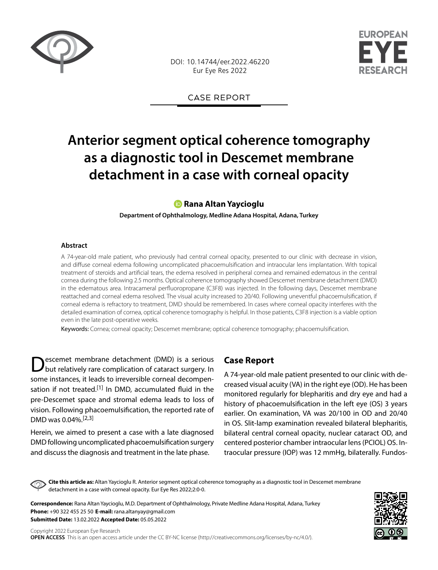

DOI: 10.14744/eer.2022.46220 Eur Eye Res 2022



CASE REPORT

# **Anterior segment optical coherence tomography as a diagnostic tool in Descemet membrane detachment in a case with corneal opacity**

## **[R](https://orcid.org/0000-0002-9139-8848)ana Altan Yaycioglu**

**Department of Ophthalmology, Medline Adana Hospital, Adana, Turkey**

#### **Abstract**

A 74-year-old male patient, who previously had central corneal opacity, presented to our clinic with decrease in vision, and diffuse corneal edema following uncomplicated phacoemulsification and intraocular lens implantation. With topical treatment of steroids and artificial tears, the edema resolved in peripheral cornea and remained edematous in the central cornea during the following 2.5 months. Optical coherence tomography showed Descemet membrane detachment (DMD) in the edematous area. Intracameral perfluoropropane (C3F8) was injected. In the following days, Descemet membrane reattached and corneal edema resolved. The visual acuity increased to 20/40. Following uneventful phacoemulsification, if corneal edema is refractory to treatment, DMD should be remembered. In cases where corneal opacity interferes with the detailed examination of cornea, optical coherence tomography is helpful. In those patients, C3F8 injection is a viable option even in the late post-operative weeks.

Keywords: Cornea; corneal opacity; Descemet membrane; optical coherence tomography; phacoemulsification.

escemet membrane detachment (DMD) is a serious but relatively rare complication of cataract surgery. In some instances, it leads to irreversible corneal decompensation if not treated.<sup>[1]</sup> In DMD, accumulated fluid in the pre-Descemet space and stromal edema leads to loss of vision. Following phacoemulsification, the reported rate of DMD was 0.04%.[2,3]

Herein, we aimed to present a case with a late diagnosed DMD following uncomplicated phacoemulsification surgery and discuss the diagnosis and treatment in the late phase.

## **Case Report**

A 74-year-old male patient presented to our clinic with decreased visual acuity (VA) in the right eye (OD). He has been monitored regularly for blepharitis and dry eye and had a history of phacoemulsification in the left eye (OS) 3 years earlier. On examination, VA was 20/100 in OD and 20/40 in OS. Slit-lamp examination revealed bilateral blepharitis, bilateral central corneal opacity, nuclear cataract OD, and centered posterior chamber intraocular lens (PCIOL) OS. Intraocular pressure (IOP) was 12 mmHg, bilaterally. Fundos-

**Cite this article as:** Altan Yaycioglu R. Anterior segment optical coherence tomography as a diagnostic tool in Descemet membrane detachment in a case with corneal opacity. Eur Eye Res 2022;2:0-0.

**Correspondence:** Rana Altan Yaycioglu, M.D. Department of Ophthalmology, Private Medline Adana Hospital, Adana, Turkey **Phone:** +90 322 455 25 50 **E-mail:** rana.altanyay@gmail.com **Submitted Date:** 13.02.2022 **Accepted Date:** 05.05.2022

Copyright 2022 European Eye Research **OPEN ACCESS** This is an open access article under the CC BY-NC license (http://creativecommons.org/licenses/by-nc/4.0/).

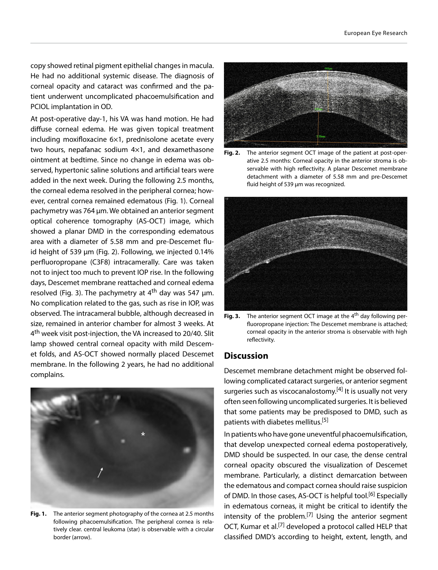copy showed retinal pigment epithelial changes in macula. He had no additional systemic disease. The diagnosis of corneal opacity and cataract was confirmed and the patient underwent uncomplicated phacoemulsification and PCIOL implantation in OD.

At post-operative day-1, his VA was hand motion. He had diffuse corneal edema. He was given topical treatment including moxifloxacine 6×1, prednisolone acetate every two hours, nepafanac sodium 4×1, and dexamethasone ointment at bedtime. Since no change in edema was observed, hypertonic saline solutions and artificial tears were added in the next week. During the following 2.5 months, the corneal edema resolved in the peripheral cornea; however, central cornea remained edematous (Fig. 1). Corneal pachymetry was 764 μm. We obtained an anterior segment optical coherence tomography (AS-OCT) image, which showed a planar DMD in the corresponding edematous area with a diameter of 5.58 mm and pre-Descemet fluid height of 539 μm (Fig. 2). Following, we injected 0.14% perfluoropropane (C3F8) intracamerally. Care was taken not to inject too much to prevent IOP rise. In the following days, Descemet membrane reattached and corneal edema resolved (Fig. 3). The pachymetry at 4<sup>th</sup> day was 547 μm. No complication related to the gas, such as rise in IOP, was observed. The intracameral bubble, although decreased in size, remained in anterior chamber for almost 3 weeks. At 4<sup>th</sup> week visit post-injection, the VA increased to 20/40. Slit lamp showed central corneal opacity with mild Descemet folds, and AS-OCT showed normally placed Descemet membrane. In the following 2 years, he had no additional complains.



**Fig. 1.** The anterior segment photography of the cornea at 2.5 months following phacoemulsification. The peripheral cornea is relatively clear. central leukoma (star) is observable with a circular border (arrow).



**Fig. 2.** The anterior segment OCT image of the patient at post-operative 2.5 months: Corneal opacity in the anterior stroma is observable with high reflectivity. A planar Descemet membrane detachment with a diameter of 5.58 mm and pre-Descemet fluid height of 539 μm was recognized.



**Fig. 3.** The anterior segment OCT image at the 4<sup>th</sup> day following perfluoropropane injection: The Descemet membrane is attached; corneal opacity in the anterior stroma is observable with high reflectivity.

## **Discussion**

Descemet membrane detachment might be observed following complicated cataract surgeries, or anterior segment surgeries such as viscocanalostomy.<sup>[4]</sup> It is usually not very often seen following uncomplicated surgeries. It is believed that some patients may be predisposed to DMD, such as patients with diabetes mellitus.[5]

In patients who have gone uneventful phacoemulsification, that develop unexpected corneal edema postoperatively, DMD should be suspected. In our case, the dense central corneal opacity obscured the visualization of Descemet membrane. Particularly, a distinct demarcation between the edematous and compact cornea should raise suspicion of DMD. In those cases, AS-OCT is helpful tool.<sup>[6]</sup> Especially in edematous corneas, it might be critical to identify the intensity of the problem.<sup>[7]</sup> Using the anterior segment OCT, Kumar et al.<sup>[7]</sup> developed a protocol called HELP that classified DMD's according to height, extent, length, and